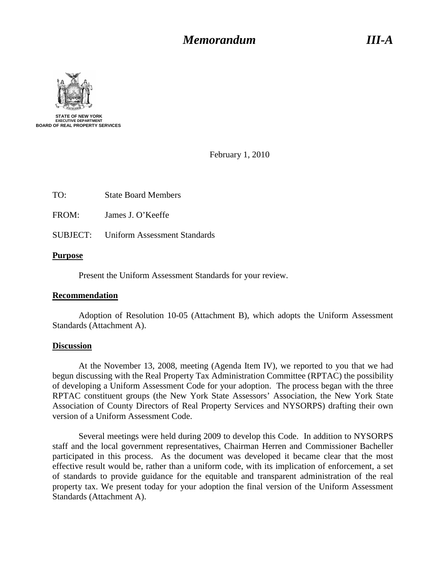## *Memorandum Memorandum III-A*



February 1, 2010

FROM: James J. O'Keeffe

SUBJECT: Uniform Assessment Standards

#### **Purpose**

Present the Uniform Assessment Standards for your review.

#### **Recommendation**

Adoption of Resolution 10-05 (Attachment B), which adopts the Uniform Assessment Standards (Attachment A).

#### **Discussion**

At the November 13, 2008, meeting (Agenda Item IV), we reported to you that we had begun discussing with the Real Property Tax Administration Committee (RPTAC) the possibility of developing a Uniform Assessment Code for your adoption. The process began with the three RPTAC constituent groups (the New York State Assessors' Association, the New York State Association of County Directors of Real Property Services and NYSORPS) drafting their own version of a Uniform Assessment Code.

Several meetings were held during 2009 to develop this Code. In addition to NYSORPS staff and the local government representatives, Chairman Herren and Commissioner Bacheller participated in this process. As the document was developed it became clear that the most effective result would be, rather than a uniform code, with its implication of enforcement, a set of standards to provide guidance for the equitable and transparent administration of the real property tax. We present today for your adoption the final version of the Uniform Assessment Standards (Attachment A).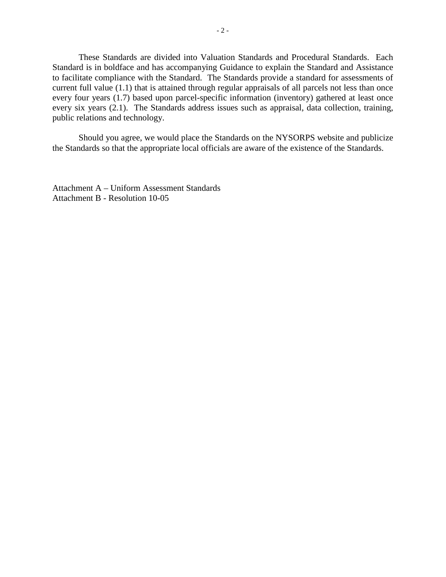These Standards are divided into Valuation Standards and Procedural Standards. Each Standard is in boldface and has accompanying Guidance to explain the Standard and Assistance to facilitate compliance with the Standard. The Standards provide a standard for assessments of current full value (1.1) that is attained through regular appraisals of all parcels not less than once every four years (1.7) based upon parcel-specific information (inventory) gathered at least once every six years (2.1). The Standards address issues such as appraisal, data collection, training, public relations and technology.

Should you agree, we would place the Standards on the NYSORPS website and publicize the Standards so that the appropriate local officials are aware of the existence of the Standards.

Attachment A – Uniform Assessment Standards Attachment B - Resolution 10-05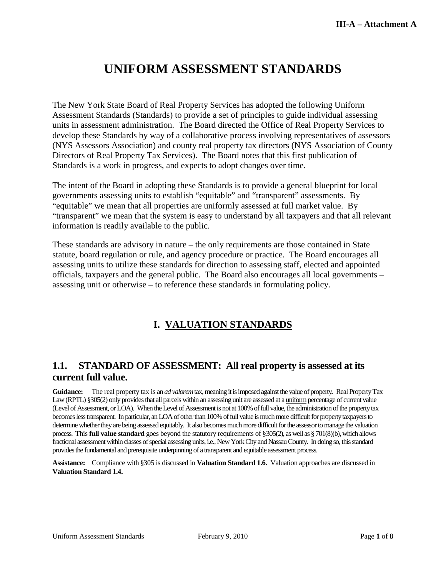# **UNIFORM ASSESSMENT STANDARDS**

The New York State Board of Real Property Services has adopted the following Uniform Assessment Standards (Standards) to provide a set of principles to guide individual assessing units in assessment administration. The Board directed the Office of Real Property Services to develop these Standards by way of a collaborative process involving representatives of assessors (NYS Assessors Association) and county real property tax directors (NYS Association of County Directors of Real Property Tax Services). The Board notes that this first publication of Standards is a work in progress, and expects to adopt changes over time.

The intent of the Board in adopting these Standards is to provide a general blueprint for local governments assessing units to establish "equitable" and "transparent" assessments. By "equitable" we mean that all properties are uniformly assessed at full market value. By "transparent" we mean that the system is easy to understand by all taxpayers and that all relevant information is readily available to the public.

These standards are advisory in nature – the only requirements are those contained in State statute, board regulation or rule, and agency procedure or practice. The Board encourages all assessing units to utilize these standards for direction to assessing staff, elected and appointed officials, taxpayers and the general public. The Board also encourages all local governments – assessing unit or otherwise – to reference these standards in formulating policy.

## **I. VALUATION STANDARDS**

#### **1.1. STANDARD OF ASSESSMENT: All real property is assessed at its current full value.**

**Guidance:** The real property tax is an *ad valorem*tax, meaning it is imposed against the value of property*.* Real Property Tax Law (RPTL) §305(2) only provides that all parcels within an assessing unit are assessed at a <u>uniform</u> percentage of current value (Level of Assessment, or LOA). When the Level of Assessment is not at 100% of full value, the administration of the property tax becomes less transparent. In particular, an LOA of other than 100% of full value is much more difficult for property taxpayersto determine whether they are being assessed equitably. It also becomes much more difficult for the assessor to manage the valuation process. This **full value standard** goes beyond the statutory requirements of §305(2), as well as § 701(8)(b), which allows fractional assessment within classes of special assessing units, i.e., New York City and Nassau County. In doing so, this standard provides the fundamental and prerequisite underpinning of a transparent and equitable assessment process.

**Assistance:** Compliance with §305 is discussed in **Valuation Standard 1.6.** Valuation approaches are discussed in **Valuation Standard 1.4.**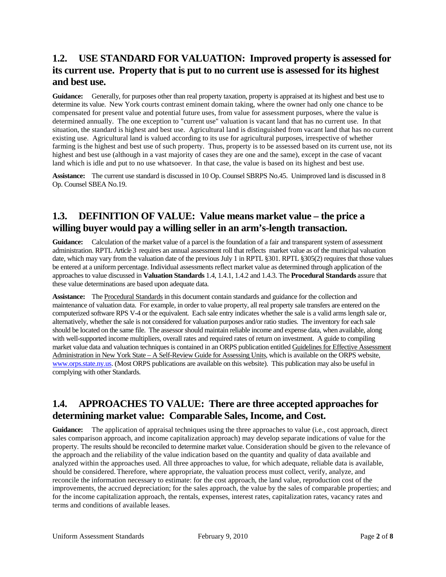## **1.2. USE STANDARD FOR VALUATION: Improved property is assessed for its current use. Property that is put to no current use is assessed for its highest and best use.**

**Guidance:** Generally, for purposes other than real property taxation, property is appraised at its highest and best use to determine its value. New York courts contrast eminent domain taking, where the owner had only one chance to be compensated for present value and potential future uses, from value for assessment purposes, where the value is determined annually. The one exception to "current use" valuation is vacant land that has no current use. In that situation, the standard is highest and best use. Agricultural land is distinguished from vacant land that has no current existing use. Agricultural land is valued according to its use for agricultural purposes, irrespective of whether farming is the highest and best use of such property. Thus, property is to be assessed based on its current use, not its highest and best use (although in a vast majority of cases they are one and the same), except in the case of vacant land which is idle and put to no use whatsoever. In that case, the value is based on its highest and best use.

**Assistance:** The current use standard is discussed in 10 Op. Counsel SBRPS No.45. Unimproved land is discussed in 8 Op. Counsel SBEA No.19.

#### **1.3. DEFINITION OF VALUE: Value means market value – the price a willing buyer would pay a willing seller in an arm's-length transaction.**

**Guidance:** Calculation of the market value of a parcel is the foundation of a fair and transparent system of assessment administration. RPTL Article 3 requires an annual assessment roll that reflects market value as of the municipal valuation date, which may vary from the valuation date of the previous July 1 in RPTL §301. RPTL §305(2) requires that those values be entered at a uniform percentage. Individual assessments reflect market value as determined through application of the approaches to value discussed in **Valuation Standards** 1.4, 1.4.1, 1.4.2 and 1.4.3. The **Procedural Standards** assure that these value determinations are based upon adequate data*.*

Assistance: The Procedural Standards in this document contain standards and guidance for the collection and maintenance of valuation data. For example, in order to value property, all real property sale transfers are entered on the computerized software RPS V-4 or the equivalent. Each sale entry indicates whether the sale is a valid arms length sale or, alternatively, whether the sale is not considered for valuation purposes and/or ratio studies. The inventory for each sale should be located on the same file. The assessor should maintain reliable income and expense data, when available, along with well-supported income multipliers, overall rates and required rates of return on investment. A guide to compiling market value data and valuation techniques is contained in an ORPS publication entitled Guidelines for Effective Assessment Administration in New York State – A Self-Review Guide for Assessing Units, which is available on the ORPS website, [www.orps.state.ny.us.](http://www.orps.state.ny.us/) (Most ORPS publications are available on this website). This publication may also be useful in complying with other Standards.

## **1.4. APPROACHES TO VALUE: There are three accepted approaches for determining market value: Comparable Sales, Income, and Cost.**

**Guidance:** The application of appraisal techniques using the three approaches to value (i.e., cost approach, direct sales comparison approach, and income capitalization approach) may develop separate indications of value for the property. The results should be reconciled to determine market value. Consideration should be given to the relevance of the approach and the reliability of the value indication based on the quantity and quality of data available and analyzed within the approaches used. All three approaches to value, for which adequate, reliable data is available, should be considered. Therefore, where appropriate, the valuation process must collect, verify, analyze, and reconcile the information necessary to estimate: for the cost approach, the land value, reproduction cost of the improvements, the accrued depreciation; for the sales approach, the value by the sales of comparable properties; and for the income capitalization approach, the rentals, expenses, interest rates, capitalization rates, vacancy rates and terms and conditions of available leases.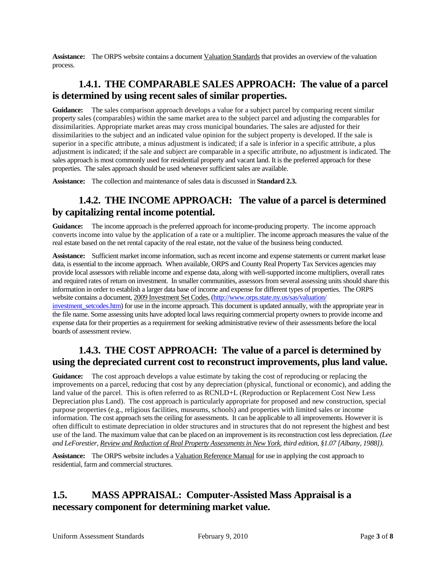**Assistance:** The ORPS website contains a document Valuation Standards that provides an overview of the valuation process.

#### **1.4.1. THE COMPARABLE SALES APPROACH: The value of a parcel is determined by using recent sales of similar properties.**

**Guidance:** The sales comparison approach develops a value for a subject parcel by comparing recent similar property sales (comparables) within the same market area to the subject parcel and adjusting the comparables for dissimilarities. Appropriate market areas may cross municipal boundaries. The sales are adjusted for their dissimilarities to the subject and an indicated value opinion for the subject property is developed. If the sale is superior in a specific attribute, a minus adjustment is indicated; if a sale is inferior in a specific attribute, a plus adjustment is indicated; if the sale and subject are comparable in a specific attribute, no adjustment is indicated. The sales approach is most commonly used for residential property and vacant land. It is the preferred approach for these properties. The sales approach should be used whenever sufficient sales are available.

**Assistance:** The collection and maintenance of sales data is discussed in **Standard 2.3.**

#### **1.4.2. THE INCOME APPROACH: The value of a parcel is determined by capitalizing rental income potential.**

**Guidance:** The income approach is the preferred approach for income-producing property. The income approach converts income into value by the application of a rate or a multiplier. The income approach measures the value of the real estate based on the net rental capacity of the real estate, not the value of the business being conducted.

**Assistance:** Sufficient market income information, such as recent income and expense statements or current market lease data, is essential to the income approach. When available, ORPS and County Real Property Tax Services agencies may provide local assessors with reliable income and expense data, along with well-supported income multipliers, overall rates and required rates of return on investment. In smaller communities, assessors from several assessing units should share this information in order to establish a larger data base of income and expense for different types of properties. The ORPS website contains a document, 2009 Investment Set Codes, [\(http://www.orps.state.ny.us/sas/valuation/](http://www.orps.state.ny.us/sas/valuation/%20investment_setcodes.htm) 

investment setcodes.htm) for use in the income approach. This document is updated annually, with the appropriate year in the file name. Some assessing units have adopted local laws requiring commercial property owners to provide income and expense data for their properties as a requirement for seeking administrative review of their assessments before the local boards of assessment review.

## **1.4.3. THE COST APPROACH: The value of a parcel is determined by using the depreciated current cost to reconstruct improvements, plus land value.**

**Guidance:** The cost approach develops a value estimate by taking the cost of reproducing or replacing the improvements on a parcel, reducing that cost by any depreciation (physical, functional or economic), and adding the land value of the parcel. This is often referred to as RCNLD+L (Reproduction or Replacement Cost New Less Depreciation plus Land). The cost approach is particularly appropriate for proposed and new construction, special purpose properties (e.g., religious facilities, museums, schools) and properties with limited sales or income information. The cost approach sets the ceiling for assessments. It can be applicable to all improvements. However it is often difficult to estimate depreciation in older structures and in structures that do not represent the highest and best use of the land. The maximum value that can be placed on an improvement is its reconstruction cost less depreciation. *(Lee and LeForestier, Review and Reduction of Real Property Assessments in New York , third edition, §1.07 [Albany, 1988])*.

Assistance: The ORPS website includes a Valuation Reference Manual for use in applying the cost approach to residential, farm and commercial structures.

## **1.5. MASS APPRAISAL: Computer-Assisted Mass Appraisal is a necessary component for determining market value.**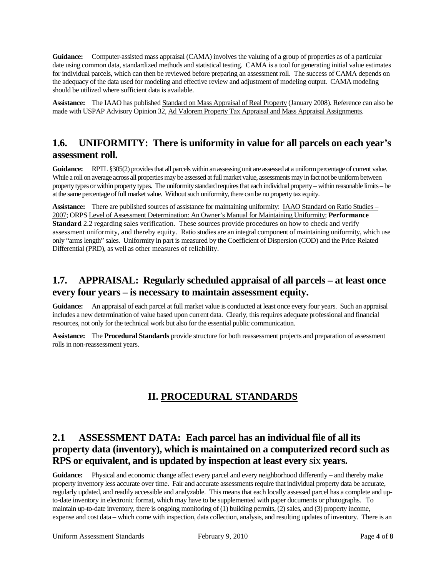**Guidance:** Computer-assisted mass appraisal (CAMA) involves the valuing of a group of properties as of a particular date using common data, standardized methods and statistical testing. CAMA is a tool for generating initial value estimates for individual parcels, which can then be reviewed before preparing an assessment roll. The success of CAMA depends on the adequacy of the data used for modeling and effective review and adjustment of modeling output. CAMA modeling should be utilized where sufficient data is available.

**Assistance:** The IAAO has published Standard on Mass Appraisal of Real Property (January 2008). Reference can also be made with USPAP Advisory Opinion 32, Ad Valorem Property Tax Appraisal and Mass Appraisal Assignments.

#### **1.6. UNIFORMITY: There is uniformity in value for all parcels on each year's assessment roll.**

**Guidance:** RPTL §305(2) provides that all parcels within an assessing unit are assessed at a uniform percentage of current value. While a roll on average across all properties may be assessed at full market value, assessments may in fact not be uniform between property types or within property types. The uniformity standard requires that each individual property – within reasonable limits – be at the same percentage offull market value. Without such uniformity, there can be no property tax equity.

**Assistance:** There are published sources of assistance for maintaining uniformity: IAAO Standard on Ratio Studies – 2007; ORPS Level of Assessment Determination: An Owner's Manual for Maintaining Uniformity; **Performance Standard** 2.2 regarding sales verification. These sources provide procedures on how to check and verify assessment uniformity, and thereby equity. Ratio studies are an integral component of maintaining uniformity, which use only "arms length" sales. Uniformity in part is measured by the Coefficient of Dispersion (COD) and the Price Related Differential (PRD), as well as other measures of reliability.

#### **1.7. APPRAISAL: Regularly scheduled appraisal of all parcels – at least once every four years – is necessary to maintain assessment equity.**

**Guidance:** An appraisal of each parcel at full market value is conducted at least once every four years. Such an appraisal includes a new determination of value based upon current data. Clearly, this requires adequate professional and financial resources, not only for the technical work but also for the essential public communication.

**Assistance:** The **Procedural Standards** provide structure for both reassessment projects and preparation of assessment rolls in non-reassessment years.

#### **II. PROCEDURAL STANDARDS**

#### **2.1 ASSESSMENT DATA: Each parcel has an individual file of all its property data (inventory), which is maintained on a computerized record such as RPS or equivalent, and is updated by inspection at least every** six **years.**

**Guidance:** Physical and economic change affect every parcel and every neighborhood differently – and thereby make property inventory less accurate over time. Fair and accurate assessments require that individual property data be accurate, regularly updated, and readily accessible and analyzable. This means that each locally assessed parcel has a complete and upto-date inventory in electronic format, which may have to be supplemented with paper documents or photographs.To maintain up-to-date inventory, there is ongoing monitoring of (1) building permits, (2) sales, and (3) property income, expense and cost data – which come with inspection, data collection, analysis, and resulting updates of inventory. There is an

Uniform Assessment Standards February 9, 2010 Page 4 of **8**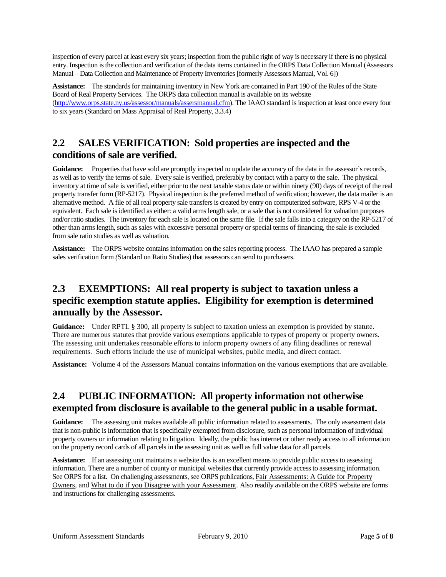inspection of every parcel at least every six years; inspection from the public right of way is necessary if there is no physical entry. Inspection is the collection and verification of the data items contained in the ORPS Data Collection Manual (Assessors Manual – Data Collection and Maintenance of Property Inventories [formerly Assessors Manual, Vol. 6])

**Assistance:** The standards for maintaining inventory in New York are contained in Part 190 of the Rules of the State Board of Real Property Services. The ORPS data collection manual is available on its website [\(http://www.orps.state.ny.us/assessor/manuals/assersmanual.cfm\)](http://www.orps.state.ny.us/assessor/manuals/assersmanual.cfm). The IAAO standard is inspection at least once every four to six years (Standard on Mass Appraisal of Real Property, 3.3.4)

#### **2.2 SALES VERIFICATION: Sold properties are inspected and the conditions of sale are verified.**

**Guidance:** Properties that have sold are promptly inspected to update the accuracy of the data in the assessor's records, as well as to verify the terms of sale. Every sale is verified, preferably by contact with a party to the sale. The physical inventory at time of sale is verified, either prior to the next taxable status date or within ninety (90) days of receipt of the real property transfer form (RP-5217). Physical inspection is the preferred method of verification; however, the data mailer is an alternative method. A file of all real property sale transfers is created by entry on computerized software, RPS V-4 or the equivalent. Each sale isidentified as either: a valid arms length sale, or a sale that is not considered for valuation purposes and/or ratio studies. The inventory for each sale is located on the same file. If the sale falls into a category on the RP-5217 of other than arms length, such as sales with excessive personal property or special terms of financing, the sale is excluded from sale ratio studies as well as valuation.

**Assistance:** The ORPS website contains information on the sales reporting process. The IAAO has prepared a sample sales verification form *(*Standard on Ratio Studies) that assessors can send to purchasers.

### **2.3 EXEMPTIONS: All real property is subject to taxation unless a specific exemption statute applies. Eligibility for exemption is determined annually by the Assessor.**

**Guidance:** Under RPTL § 300, all property is subject to taxation unless an exemption is provided by statute. There are numerous statutes that provide various exemptions applicable to types of property or property owners. The assessing unit undertakes reasonable efforts to inform property owners of any filing deadlines or renewal requirements. Such efforts include the use of municipal websites, public media, and direct contact.

**Assistance:** Volume 4 of the Assessors Manual contains information on the various exemptions that are available.

## **2.4 PUBLIC INFORMATION: All property information not otherwise exempted from disclosure is available to the general public in a usable format.**

**Guidance:** The assessing unit makes available all public information related to assessments. The only assessment data that is non-public is information that is specifically exempted from disclosure, such as personal information of individual property owners or information relating to litigation. Ideally, the public has internet or other ready access to all information on the property record cards of all parcels in the assessing unit as well as full value data for all parcels.

**Assistance:** If an assessing unit maintains a website this is an excellent means to provide public access to assessing information. There are a number of county or municipal websites that currently provide access to assessing information. See ORPS for a list. On challenging assessments, see ORPS publications, Fair Assessments: A Guide for Property Owners, and What to do if you Disagree with your Assessment. Also readily available on the ORPS website are forms and instructions for challenging assessments.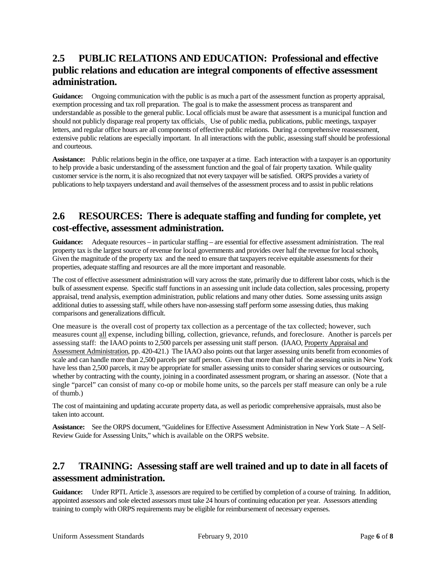## **2.5 PUBLIC RELATIONS AND EDUCATION: Professional and effective public relations and education are integral components of effective assessment administration.**

**Guidance:** Ongoing communication with the public is as much a part of the assessment function as property appraisal, exemption processing and tax roll preparation. The goal is to make the assessment process as transparent and understandable as possible to the general public. Local officials must be aware that assessment is a municipal function and should not publicly disparage real property tax officials. Use of public media, publications, public meetings, taxpayer letters, and regular office hours are all components of effective public relations. During a comprehensive reassessment, extensive public relations are especially important. In all interactions with the public, assessing staff should be professional and courteous.

**Assistance:** Public relations begin in the office, one taxpayer at a time. Each interaction with a taxpayer is an opportunity to help provide a basic understanding of the assessment function and the goal of fair property taxation. While quality customer service is the norm, it is also recognized that not every taxpayer will be satisfied. ORPS provides a variety of publications to help taxpayers understand and avail themselves of the assessment process and to assist in public relations

#### **2.6 RESOURCES: There is adequate staffing and funding for complete, yet cost-effective, assessment administration.**

**Guidance:** Adequate resources – in particular staffing – are essential for effective assessment administration. The real property tax is the largest source of revenue for local governments and provides over half the revenue for local schools**.** Given the magnitude of the property tax and the need to ensure that taxpayers receive equitable assessments for their properties, adequate staffing and resources are all the more important and reasonable.

The cost of effective assessment administration will vary across the state, primarily due to different labor costs, which is the bulk of assessment expense. Specific staff functions in an assessing unit include data collection, sales processing, property appraisal, trend analysis, exemption administration, public relations and many other duties. Some assessing units assign additional duties to assessing staff, while others have non-assessing staff perform some assessing duties, thus making comparisons and generalizations difficult.

One measure is the overall cost of property tax collection as a percentage of the tax collected; however, such measures count all expense, including billing, collection, grievance, refunds, and foreclosure. Another is parcels per assessing staff: the IAAO points to 2,500 parcels per assessing unit staff person. (IAAO, Property Appraisal and Assessment Administration, pp. 420-421.) The IAAO also points out that larger assessing units benefit from economies of scale and can handle more than 2,500 parcels per staff person. Given that more than half of the assessing units in New York have less than 2,500 parcels, it may be appropriate for smaller assessing units to consider sharing services or outsourcing, whether by contracting with the county, joining in a coordinated assessment program, or sharing an assessor. (Note that a single "parcel" can consist of many co-op or mobile home units, so the parcels per staff measure can only be a rule of thumb.)

The cost of maintaining and updating accurate property data, as well as periodic comprehensive appraisals, must also be taken into account.

**Assistance:** See the ORPS document, "Guidelines for Effective Assessment Administration in New York State – A Self-Review Guide for Assessing Units," which is available on the ORPS website.

## **2.7 TRAINING: Assessing staff are well trained and up to date in all facets of assessment administration.**

**Guidance:** Under RPTL Article 3, assessors are required to be certified by completion of a course of training. In addition, appointed assessors and sole elected assessors must take 24 hours of continuing education per year. Assessors attending training to comply with ORPS requirements may be eligible for reimbursement of necessary expenses.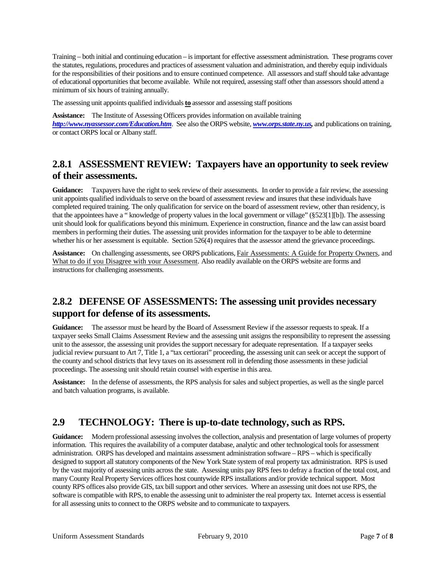Training – both initial and continuing education – is important for effective assessment administration. These programs cover the statutes, regulations, procedures and practices of assessment valuation and administration, and thereby equip individuals for the responsibilities of their positions and to ensure continued competence. All assessors and staff should take advantage of educational opportunities that become available. While not required, assessing staff other than assessors should attend a minimum of six hours of training annually.

The assessing unit appoints qualified individuals**to** assessor and assessing staff positions

**Assistance:** The Institute of Assessing Officers provides information on available training *<http://www.nyassessor.com/Education.htm>*. See also the ORPS website, *[www.orps.state.ny.us,](http://www.orps.state.ny.us/)* and publications on training, or contact ORPS local or Albany staff.

#### **2.8.1 ASSESSMENT REVIEW: Taxpayers have an opportunity to seek review of their assessments.**

**Guidance:** Taxpayers have the right to seek review of their assessments. In order to provide a fair review, the assessing unit appoints qualified individuals to serve on the board of assessment review and insures that these individuals have completed required training. The only qualification for service on the board of assessment review, other than residency, is that the appointees have a " knowledge of property values in the local government or village" (§523[1][b]). The assessing unit should look for qualifications beyond this minimum. Experience in construction, finance and the law can assist board members in performing their duties. The assessing unit provides information for the taxpayer to be able to determine whether his or her assessment is equitable. Section 526(4) requires that the assessor attend the grievance proceedings.

**Assistance:** On challenging assessments, see ORPS publications, Fair Assessments: A Guide for Property Owners, and What to do if you Disagree with your Assessment. Also readily available on the ORPS website are forms and instructions for challenging assessments.

## **2.8.2 DEFENSE OF ASSESSMENTS: The assessing unit provides necessary support for defense of its assessments.**

**Guidance:** The assessor must be heard by the Board of Assessment Review if the assessor requests to speak. If a taxpayer seeks Small Claims Assessment Review and the assessing unit assigns the responsibility to represent the assessing unit to the assessor, the assessing unit provides the support necessary for adequate representation. If a taxpayer seeks judicial review pursuant to Art 7, Title 1, a "tax certiorari" proceeding, the assessing unit can seek or accept the support of the county and school districts that levy taxes on its assessment roll in defending those assessments in these judicial proceedings. The assessing unit should retain counsel with expertise in this area.

**Assistance:** In the defense of assessments, the RPS analysis for sales and subject properties, as well as the single parcel and batch valuation programs, is available.

## **2.9 TECHNOLOGY: There is up-to-date technology, such as RPS.**

**Guidance:** Modern professional assessing involves the collection, analysis and presentation of large volumes of property information. This requires the availability of a computer database, analytic and other technological tools for assessment administration. ORPS has developed and maintains assessment administration software – RPS – which is specifically designed to support all statutory components of the New York State system of real property tax administration. RPS is used by the vast majority of assessing units across the state. Assessing units pay RPS fees to defray a fraction of the total cost, and many County Real Property Services offices host countywide RPS installations and/or provide technical support. Most county RPS offices also provide GIS, tax bill support and other services. Where an assessing unit does not use RPS, the software is compatible with RPS, to enable the assessing unit to administer the real property tax. Internet access is essential for all assessing units to connect to the ORPS website and to communicate to taxpayers.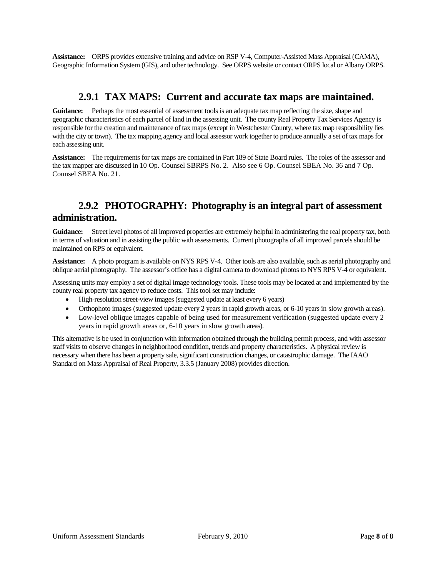**Assistance:** ORPS provides extensive training and advice on RSP V-4, Computer-Assisted Mass Appraisal (CAMA), Geographic Information System (GIS), and other technology. See ORPS website or contact ORPS local or Albany ORPS.

#### **2.9.1 TAX MAPS: Current and accurate tax maps are maintained.**

**Guidance:** Perhaps the most essential of assessment tools is an adequate tax map reflecting the size, shape and geographic characteristics of each parcel of land in the assessing unit. The county Real Property Tax Services Agency is responsible for the creation and maintenance of tax maps (except in Westchester County, where tax map responsibility lies with the city or town). The tax mapping agency and local assessor work together to produce annually a set of tax maps for each assessing unit.

**Assistance:** The requirements for tax maps are contained in Part 189 of State Board rules. The roles of the assessor and the tax mapper are discussed in 10 [Op. Counsel SBRPS No. 2.](http://www.orps.state.ny.us/legal/opinions/v10/02.htm) Also see 6 Op. Counsel SBEA No. 36 and 7 Op. Counsel SBEA No. 21.

#### **2.9.2 PHOTOGRAPHY: Photography is an integral part of assessment administration.**

**Guidance:** Street level photos of all improved properties are extremely helpful in administering the real property tax, both in terms of valuation and in assisting the public with assessments. Current photographs of all improved parcels should be maintained on RPS or equivalent.

**Assistance:** A photo program is available on NYS RPS V-4. Other tools are also available, such as aerial photography and oblique aerial photography. The assessor's office has a digital camera to download photos to NYS RPS V-4 or equivalent.

Assessing units may employ a set of digital image technology tools. These tools may be located at and implemented by the county real property tax agency to reduce costs. This tool set may include:

- High-resolution street-view images (suggested update at least every 6 years)
- Orthophoto images (suggested update every 2 years in rapid growth areas, or 6-10 years in slow growth areas).
- Low-level oblique images capable of being used for measurement verification (suggested update every 2) years in rapid growth areas or, 6-10 years in slow growth areas).

This alternative is be used in conjunction with information obtained through the building permit process, and with assessor staff visits to observe changes in neighborhood condition, trends and property characteristics. A physical review is necessary when there has been a property sale, significant construction changes, or catastrophic damage. The IAAO Standard on Mass Appraisal of Real Property, 3.3.5 (January 2008) provides direction.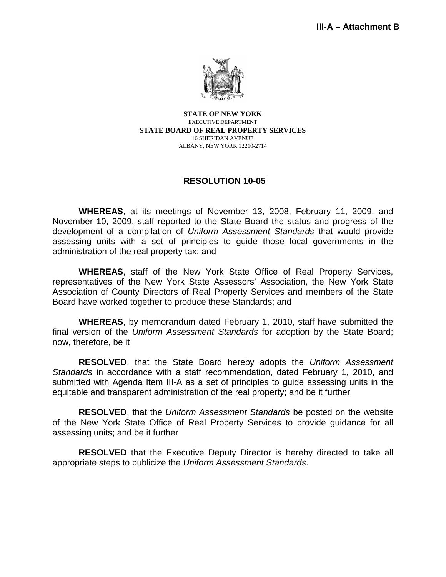

**STATE OF NEW YORK** EXECUTIVE DEPARTMENT **STATE BOARD OF REAL PROPERTY SERVICES** 16 SHERIDAN AVENUE ALBANY, NEW YORK 12210-2714

#### **RESOLUTION 10-05**

**WHEREAS**, at its meetings of November 13, 2008, February 11, 2009, and November 10, 2009, staff reported to the State Board the status and progress of the development of a compilation of *Uniform Assessment Standards* that would provide assessing units with a set of principles to guide those local governments in the administration of the real property tax; and

**WHEREAS**, staff of the New York State Office of Real Property Services, representatives of the New York State Assessors' Association, the New York State Association of County Directors of Real Property Services and members of the State Board have worked together to produce these Standards; and

**WHEREAS**, by memorandum dated February 1, 2010, staff have submitted the final version of the *Uniform Assessment Standards* for adoption by the State Board; now, therefore, be it

**RESOLVED**, that the State Board hereby adopts the *Uniform Assessment Standards* in accordance with a staff recommendation, dated February 1, 2010, and submitted with Agenda Item III-A as a set of principles to guide assessing units in the equitable and transparent administration of the real property; and be it further

**RESOLVED**, that the *Uniform Assessment Standards* be posted on the website of the New York State Office of Real Property Services to provide guidance for all assessing units; and be it further

**RESOLVED** that the Executive Deputy Director is hereby directed to take all appropriate steps to publicize the *Uniform Assessment Standards*.